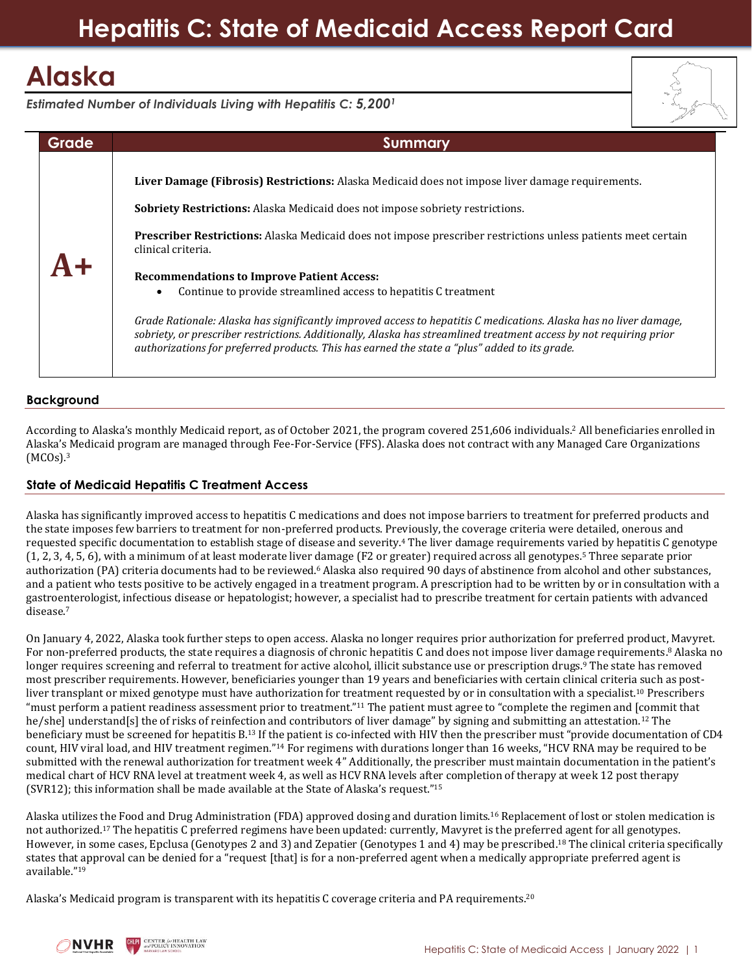## **Hepatitis C: State of Medicaid Access Report Card**

# **Alaska**

*Estimated Number of Individuals Living with Hepatitis C: 5,200<sup>1</sup>*



### **Background**

According to Alaska's monthly Medicaid report, as of October 2021, the program covered 251,606 individuals.<sup>2</sup> All beneficiaries enrolled in Alaska's Medicaid program are managed through Fee-For-Service (FFS). Alaska does not contract with any Managed Care Organizations (MCOs). 3

### **State of Medicaid Hepatitis C Treatment Access**

Alaska has significantly improved access to hepatitis C medications and does not impose barriers to treatment for preferred products and the state imposes few barriers to treatment for non-preferred products. Previously, the coverage criteria were detailed, onerous and requested specific documentation to establish stage of disease and severity.<sup>4</sup> The liver damage requirements varied by hepatitis C genotype (1, 2, 3, 4, 5, 6), with a minimum of at least moderate liver damage (F2 or greater) required across all genotypes. <sup>5</sup> Three separate prior authorization (PA) criteria documents had to be reviewed.<sup>6</sup> Alaska also required 90 days of abstinence from alcohol and other substances, and a patient who tests positive to be actively engaged in a treatment program. A prescription had to be written by or in consultation with a gastroenterologist, infectious disease or hepatologist; however, a specialist had to prescribe treatment for certain patients with advanced disease.<sup>7</sup>

On January 4, 2022, Alaska took further steps to open access. Alaska no longer requires prior authorization for preferred product, Mavyret. For non-preferred products, the state requires a diagnosis of chronic hepatitis C and does not impose liver damage requirements.<sup>8</sup> Alaska no longer requires screening and referral to treatment for active alcohol, illicit substance use or prescription drugs.<sup>9</sup> The state has removed most prescriber requirements. However, beneficiaries younger than 19 years and beneficiaries with certain clinical criteria such as postliver transplant or mixed genotype must have authorization for treatment requested by or in consultation with a specialist.<sup>10</sup> Prescribers "must perform a patient readiness assessment prior to treatment."<sup>11</sup> The patient must agree to "complete the regimen and [commit that he/she] understand[s] the of risks of reinfection and contributors of liver damage" by signing and submitting an attestation.<sup>12</sup> The beneficiary must be screened for hepatitis B.<sup>13</sup> If the patient is co-infected with HIV then the prescriber must "provide documentation of CD4 count, HIV viral load, and HIV treatment regimen."<sup>14</sup> For regimens with durations longer than 16 weeks, "HCV RNA may be required to be submitted with the renewal authorization for treatment week 4" Additionally, the prescriber must maintain documentation in the patient's medical chart of HCV RNA level at treatment week 4, as well as HCV RNA levels after completion of therapy at week 12 post therapy (SVR12); this information shall be made available at the State of Alaska's request."<sup>15</sup>

Alaska utilizes the Food and Drug Administration (FDA) approved dosing and duration limits.<sup>16</sup> Replacement of lost or stolen medication is not authorized.<sup>17</sup> The hepatitis C preferred regimens have been updated: currently, Mavyret is the preferred agent for all genotypes. However, in some cases, Epclusa (Genotypes 2 and 3) and Zepatier (Genotypes 1 and 4) may be prescribed.<sup>18</sup> The clinical criteria specifically states that approval can be denied for a "request [that] is for a non-preferred agent when a medically appropriate preferred agent is available."<sup>19</sup>

Alaska's Medicaid program is transparent with its hepatitis C coverage criteria and PA requirements.<sup>20</sup>